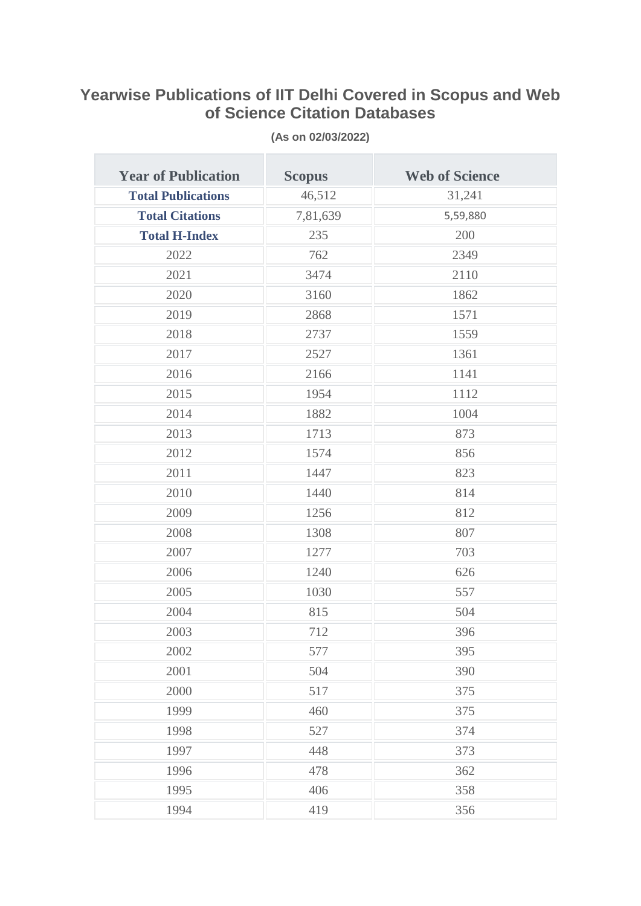## **Yearwise Publications of IIT Delhi Covered in Scopus and Web of Science Citation Databases**

| <b>Year of Publication</b> | <b>Scopus</b> | <b>Web of Science</b> |
|----------------------------|---------------|-----------------------|
| <b>Total Publications</b>  | 46,512        | 31,241                |
| <b>Total Citations</b>     | 7,81,639      | 5,59,880              |
| <b>Total H-Index</b>       | 235           | 200                   |
| 2022                       | 762           | 2349                  |
| 2021                       | 3474          | 2110                  |
| 2020                       | 3160          | 1862                  |
| 2019                       | 2868          | 1571                  |
| 2018                       | 2737          | 1559                  |
| 2017                       | 2527          | 1361                  |
| 2016                       | 2166          | 1141                  |
| 2015                       | 1954          | 1112                  |
| 2014                       | 1882          | 1004                  |
| 2013                       | 1713          | 873                   |
| 2012                       | 1574          | 856                   |
| 2011                       | 1447          | 823                   |
| 2010                       | 1440          | 814                   |
| 2009                       | 1256          | 812                   |
| 2008                       | 1308          | 807                   |
| 2007                       | 1277          | 703                   |
| 2006                       | 1240          | 626                   |
| 2005                       | 1030          | 557                   |
| 2004                       | 815           | 504                   |
| 2003                       | 712           | 396                   |
| 2002                       | 577           | 395                   |
| 2001                       | 504           | 390                   |
| 2000                       | 517           | 375                   |
| 1999                       | 460           | 375                   |
| 1998                       | 527           | 374                   |
| 1997                       | 448           | 373                   |
| 1996                       | 478           | 362                   |
| 1995                       | 406           | 358                   |
| 1994                       | 419           | 356                   |

**(As on 02/03/2022)**